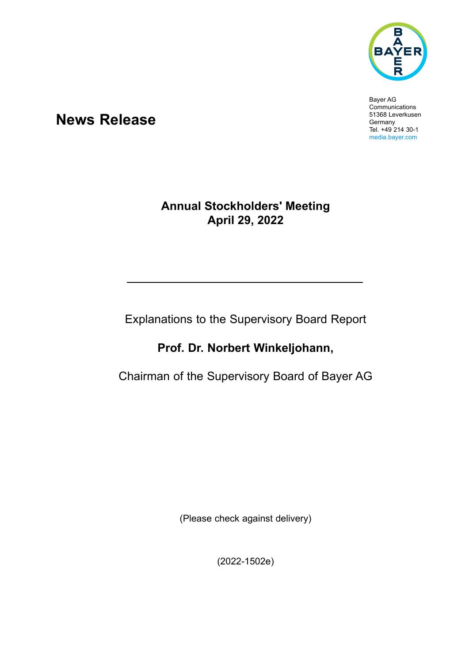

Bayer AG **Communications** 51368 Leverkusen Germany Tel. +49 214 30-1 media.bayer.com

# **News Release**

### **Annual Stockholders' Meeting April 29, 2022**

Explanations to the Supervisory Board Report

## **Prof. Dr. Norbert Winkeljohann,**

Chairman of the Supervisory Board of Bayer AG

(Please check against delivery)

(2022-1502e)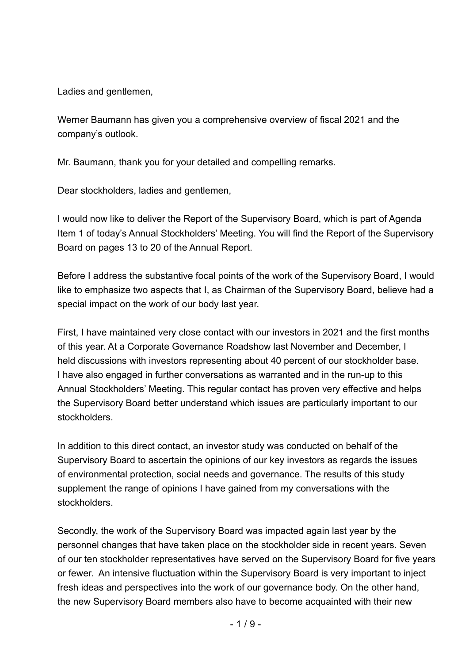Ladies and gentlemen.

Werner Baumann has given you a comprehensive overview of fiscal 2021 and the company's outlook.

Mr. Baumann, thank you for your detailed and compelling remarks.

Dear stockholders, ladies and gentlemen,

I would now like to deliver the Report of the Supervisory Board, which is part of Agenda Item 1 of today's Annual Stockholders' Meeting. You will find the Report of the Supervisory Board on pages 13 to 20 of the Annual Report.

Before I address the substantive focal points of the work of the Supervisory Board, I would like to emphasize two aspects that I, as Chairman of the Supervisory Board, believe had a special impact on the work of our body last year.

First, I have maintained very close contact with our investors in 2021 and the first months of this year. At a Corporate Governance Roadshow last November and December, I held discussions with investors representing about 40 percent of our stockholder base. I have also engaged in further conversations as warranted and in the run-up to this Annual Stockholders' Meeting. This regular contact has proven very effective and helps the Supervisory Board better understand which issues are particularly important to our stockholders.

In addition to this direct contact, an investor study was conducted on behalf of the Supervisory Board to ascertain the opinions of our key investors as regards the issues of environmental protection, social needs and governance. The results of this study supplement the range of opinions I have gained from my conversations with the stockholders.

Secondly, the work of the Supervisory Board was impacted again last year by the personnel changes that have taken place on the stockholder side in recent years. Seven of our ten stockholder representatives have served on the Supervisory Board for five years or fewer. An intensive fluctuation within the Supervisory Board is very important to inject fresh ideas and perspectives into the work of our governance body. On the other hand, the new Supervisory Board members also have to become acquainted with their new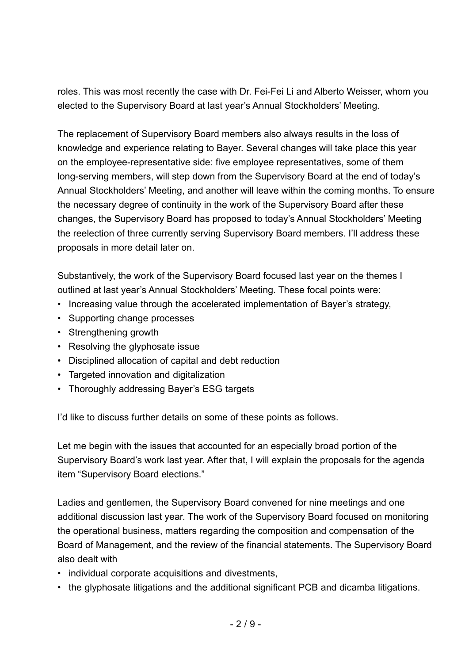roles. This was most recently the case with Dr. Fei-Fei Li and Alberto Weisser, whom you elected to the Supervisory Board at last year's Annual Stockholders' Meeting.

The replacement of Supervisory Board members also always results in the loss of knowledge and experience relating to Bayer. Several changes will take place this year on the employee-representative side: five employee representatives, some of them long-serving members, will step down from the Supervisory Board at the end of today's Annual Stockholders' Meeting, and another will leave within the coming months. To ensure the necessary degree of continuity in the work of the Supervisory Board after these changes, the Supervisory Board has proposed to today's Annual Stockholders' Meeting the reelection of three currently serving Supervisory Board members. I'll address these proposals in more detail later on.

Substantively, the work of the Supervisory Board focused last year on the themes I outlined at last year's Annual Stockholders' Meeting. These focal points were:

- Increasing value through the accelerated implementation of Bayer's strategy,
- Supporting change processes
- Strengthening growth
- Resolving the glyphosate issue
- • Disciplined allocation of capital and debt reduction
- • Targeted innovation and digitalization
- Thoroughly addressing Bayer's ESG targets

I'd like to discuss further details on some of these points as follows.

Let me begin with the issues that accounted for an especially broad portion of the Supervisory Board's work last year. After that, I will explain the proposals for the agenda item "Supervisory Board elections."

Ladies and gentlemen, the Supervisory Board convened for nine meetings and one additional discussion last year. The work of the Supervisory Board focused on monitoring the operational business, matters regarding the composition and compensation of the Board of Management, and the review of the financial statements. The Supervisory Board also dealt with

- individual corporate acquisitions and divestments,
- the glyphosate litigations and the additional significant PCB and dicamba litigations.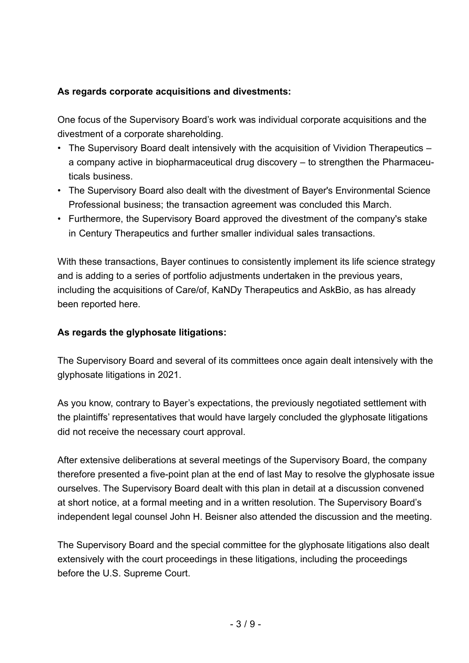### **As regards corporate acquisitions and divestments:**

One focus of the Supervisory Board's work was individual corporate acquisitions and the divestment of a corporate shareholding.

- The Supervisory Board dealt intensively with the acquisition of Vividion Therapeutics a company active in biopharmaceutical drug discovery – to strengthen the Pharmaceuticals business.
- The Supervisory Board also dealt with the divestment of Bayer's Environmental Science Professional business; the transaction agreement was concluded this March.
- Furthermore, the Supervisory Board approved the divestment of the company's stake in Century Therapeutics and further smaller individual sales transactions.

With these transactions, Bayer continues to consistently implement its life science strategy and is adding to a series of portfolio adjustments undertaken in the previous years, including the acquisitions of Care/of, KaNDy Therapeutics and AskBio, as has already been reported here.

#### **As regards the glyphosate litigations:**

The Supervisory Board and several of its committees once again dealt intensively with the glyphosate litigations in 2021.

As you know, contrary to Bayer's expectations, the previously negotiated settlement with the plaintiffs' representatives that would have largely concluded the glyphosate litigations did not receive the necessary court approval.

After extensive deliberations at several meetings of the Supervisory Board, the company therefore presented a five-point plan at the end of last May to resolve the glyphosate issue ourselves. The Supervisory Board dealt with this plan in detail at a discussion convened at short notice, at a formal meeting and in a written resolution. The Supervisory Board's independent legal counsel John H. Beisner also attended the discussion and the meeting.

The Supervisory Board and the special committee for the glyphosate litigations also dealt extensively with the court proceedings in these litigations, including the proceedings before the U.S. Supreme Court.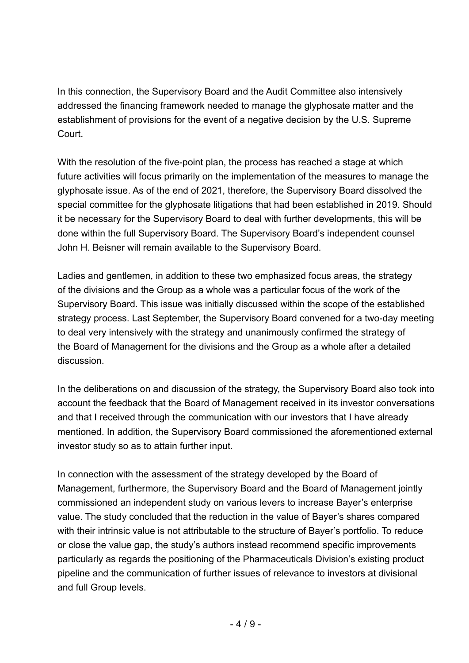In this connection, the Supervisory Board and the Audit Committee also intensively addressed the financing framework needed to manage the glyphosate matter and the establishment of provisions for the event of a negative decision by the U.S. Supreme Court.

With the resolution of the five-point plan, the process has reached a stage at which future activities will focus primarily on the implementation of the measures to manage the glyphosate issue. As of the end of 2021, therefore, the Supervisory Board dissolved the special committee for the glyphosate litigations that had been established in 2019. Should it be necessary for the Supervisory Board to deal with further developments, this will be done within the full Supervisory Board. The Supervisory Board's independent counsel John H. Beisner will remain available to the Supervisory Board.

Ladies and gentlemen, in addition to these two emphasized focus areas, the strategy of the divisions and the Group as a whole was a particular focus of the work of the Supervisory Board. This issue was initially discussed within the scope of the established strategy process. Last September, the Supervisory Board convened for a two-day meeting to deal very intensively with the strategy and unanimously confirmed the strategy of the Board of Management for the divisions and the Group as a whole after a detailed discussion.

In the deliberations on and discussion of the strategy, the Supervisory Board also took into account the feedback that the Board of Management received in its investor conversations and that I received through the communication with our investors that I have already mentioned. In addition, the Supervisory Board commissioned the aforementioned external investor study so as to attain further input.

In connection with the assessment of the strategy developed by the Board of Management, furthermore, the Supervisory Board and the Board of Management jointly commissioned an independent study on various levers to increase Bayer's enterprise value. The study concluded that the reduction in the value of Bayer's shares compared with their intrinsic value is not attributable to the structure of Bayer's portfolio. To reduce or close the value gap, the study's authors instead recommend specific improvements particularly as regards the positioning of the Pharmaceuticals Division's existing product pipeline and the communication of further issues of relevance to investors at divisional and full Group levels.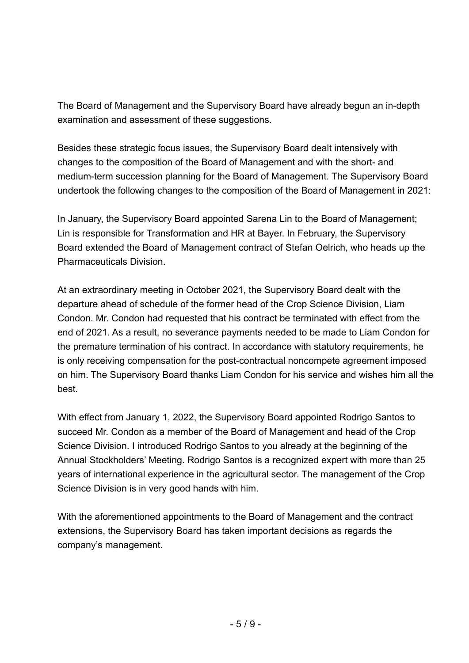The Board of Management and the Supervisory Board have already begun an in-depth examination and assessment of these suggestions.

Besides these strategic focus issues, the Supervisory Board dealt intensively with changes to the composition of the Board of Management and with the short- and medium-term succession planning for the Board of Management. The Supervisory Board undertook the following changes to the composition of the Board of Management in 2021:

In January, the Supervisory Board appointed Sarena Lin to the Board of Management; Lin is responsible for Transformation and HR at Bayer. In February, the Supervisory Board extended the Board of Management contract of Stefan Oelrich, who heads up the Pharmaceuticals Division.

At an extraordinary meeting in October 2021, the Supervisory Board dealt with the departure ahead of schedule of the former head of the Crop Science Division, Liam Condon. Mr. Condon had requested that his contract be terminated with effect from the end of 2021. As a result, no severance payments needed to be made to Liam Condon for the premature termination of his contract. In accordance with statutory requirements, he is only receiving compensation for the post-contractual noncompete agreement imposed on him. The Supervisory Board thanks Liam Condon for his service and wishes him all the best.

With effect from January 1, 2022, the Supervisory Board appointed Rodrigo Santos to succeed Mr. Condon as a member of the Board of Management and head of the Crop Science Division. I introduced Rodrigo Santos to you already at the beginning of the Annual Stockholders' Meeting. Rodrigo Santos is a recognized expert with more than 25 years of international experience in the agricultural sector. The management of the Crop Science Division is in very good hands with him.

With the aforementioned appointments to the Board of Management and the contract extensions, the Supervisory Board has taken important decisions as regards the company's management.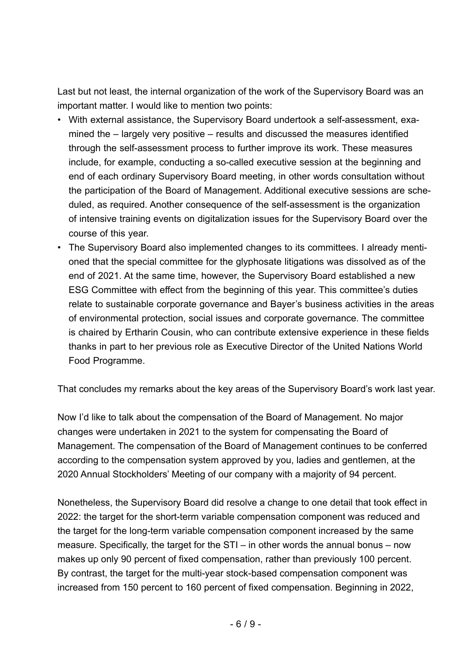Last but not least, the internal organization of the work of the Supervisory Board was an important matter. I would like to mention two points:

- With external assistance, the Supervisory Board undertook a self-assessment, examined the – largely very positive – results and discussed the measures identified through the self-assessment process to further improve its work. These measures include, for example, conducting a so-called executive session at the beginning and end of each ordinary Supervisory Board meeting, in other words consultation without the participation of the Board of Management. Additional executive sessions are scheduled, as required. Another consequence of the self-assessment is the organization of intensive training events on digitalization issues for the Supervisory Board over the course of this year.
- • The Supervisory Board also implemented changes to its committees. I already mentioned that the special committee for the glyphosate litigations was dissolved as of the end of 2021. At the same time, however, the Supervisory Board established a new ESG Committee with effect from the beginning of this year. This committee's duties relate to sustainable corporate governance and Bayer's business activities in the areas of environmental protection, social issues and corporate governance. The committee is chaired by Ertharin Cousin, who can contribute extensive experience in these fields thanks in part to her previous role as Executive Director of the United Nations World Food Programme.

That concludes my remarks about the key areas of the Supervisory Board's work last year.

Now I'd like to talk about the compensation of the Board of Management. No major changes were undertaken in 2021 to the system for compensating the Board of Management. The compensation of the Board of Management continues to be conferred according to the compensation system approved by you, ladies and gentlemen, at the 2020 Annual Stockholders' Meeting of our company with a majority of 94 percent.

Nonetheless, the Supervisory Board did resolve a change to one detail that took effect in 2022: the target for the short-term variable compensation component was reduced and the target for the long-term variable compensation component increased by the same measure. Specifically, the target for the STI – in other words the annual bonus – now makes up only 90 percent of fixed compensation, rather than previously 100 percent. By contrast, the target for the multi-year stock-based compensation component was increased from 150 percent to 160 percent of fixed compensation. Beginning in 2022,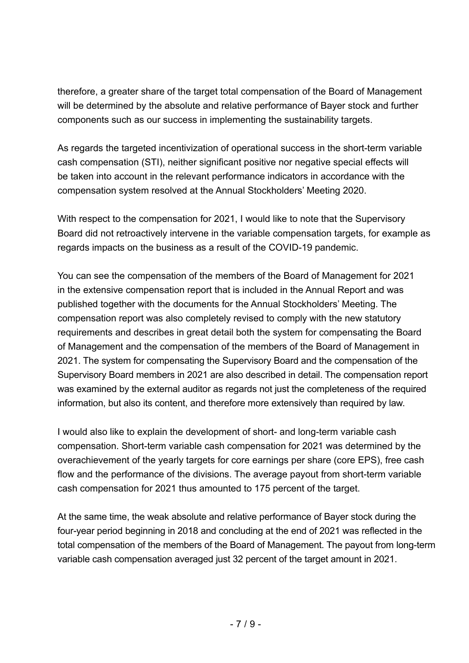therefore, a greater share of the target total compensation of the Board of Management will be determined by the absolute and relative performance of Bayer stock and further components such as our success in implementing the sustainability targets.

As regards the targeted incentivization of operational success in the short-term variable cash compensation (STI), neither significant positive nor negative special effects will be taken into account in the relevant performance indicators in accordance with the compensation system resolved at the Annual Stockholders' Meeting 2020.

With respect to the compensation for 2021, I would like to note that the Supervisory Board did not retroactively intervene in the variable compensation targets, for example as regards impacts on the business as a result of the COVID-19 pandemic.

You can see the compensation of the members of the Board of Management for 2021 in the extensive compensation report that is included in the Annual Report and was published together with the documents for the Annual Stockholders' Meeting. The compensation report was also completely revised to comply with the new statutory requirements and describes in great detail both the system for compensating the Board of Management and the compensation of the members of the Board of Management in 2021. The system for compensating the Supervisory Board and the compensation of the Supervisory Board members in 2021 are also described in detail. The compensation report was examined by the external auditor as regards not just the completeness of the required information, but also its content, and therefore more extensively than required by law.

I would also like to explain the development of short- and long-term variable cash compensation. Short-term variable cash compensation for 2021 was determined by the overachievement of the yearly targets for core earnings per share (core EPS), free cash flow and the performance of the divisions. The average payout from short-term variable cash compensation for 2021 thus amounted to 175 percent of the target.

At the same time, the weak absolute and relative performance of Bayer stock during the four-year period beginning in 2018 and concluding at the end of 2021 was reflected in the total compensation of the members of the Board of Management. The payout from long-term variable cash compensation averaged just 32 percent of the target amount in 2021.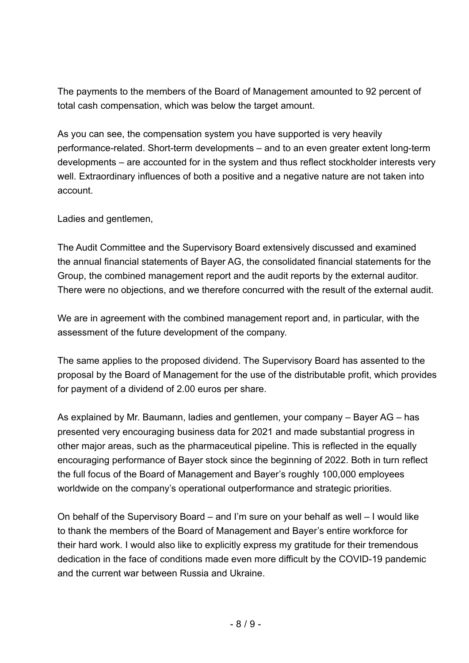The payments to the members of the Board of Management amounted to 92 percent of total cash compensation, which was below the target amount.

As you can see, the compensation system you have supported is very heavily performance-related. Short-term developments – and to an even greater extent long-term developments – are accounted for in the system and thus reflect stockholder interests very well. Extraordinary influences of both a positive and a negative nature are not taken into account.

Ladies and gentlemen,

The Audit Committee and the Supervisory Board extensively discussed and examined the annual financial statements of Bayer AG, the consolidated financial statements for the Group, the combined management report and the audit reports by the external auditor. There were no objections, and we therefore concurred with the result of the external audit.

We are in agreement with the combined management report and, in particular, with the assessment of the future development of the company.

The same applies to the proposed dividend. The Supervisory Board has assented to the proposal by the Board of Management for the use of the distributable profit, which provides for payment of a dividend of 2.00 euros per share.

As explained by Mr. Baumann, ladies and gentlemen, your company – Bayer AG – has presented very encouraging business data for 2021 and made substantial progress in other major areas, such as the pharmaceutical pipeline. This is reflected in the equally encouraging performance of Bayer stock since the beginning of 2022. Both in turn reflect the full focus of the Board of Management and Bayer's roughly 100,000 employees worldwide on the company's operational outperformance and strategic priorities.

On behalf of the Supervisory Board – and I'm sure on your behalf as well – I would like to thank the members of the Board of Management and Bayer's entire workforce for their hard work. I would also like to explicitly express my gratitude for their tremendous dedication in the face of conditions made even more difficult by the COVID-19 pandemic and the current war between Russia and Ukraine.